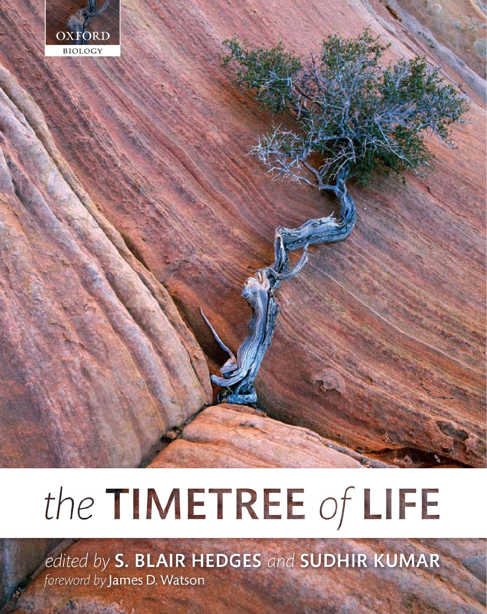

# the TIMETREE of LIFE

edited by S. BLAIR HEDGES and SUDHIR KUMAR foreword by James D. Watson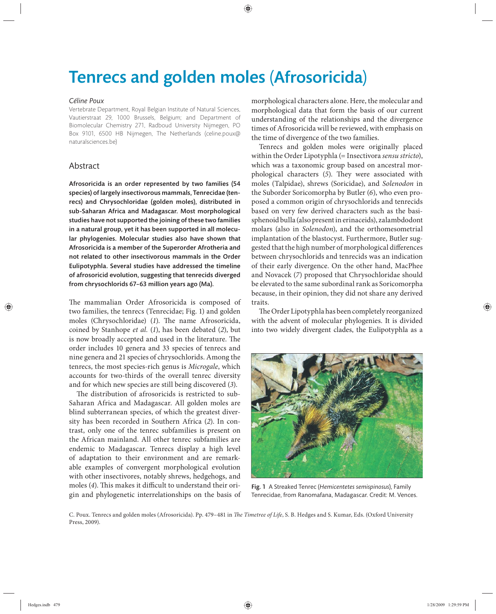# Tenrecs and golden moles (Afrosoricida)

#### *Céline Poux*

Vertebrate Department, Royal Belgian Institute of Natural Sciences, Vautierstraat 29, 1000 Brussels, Belgium; and Department of Biomolecular Chemistry 271, Radboud University Nijmegen, PO Box 9101, 6500 HB Nijmegen, The Netherlands (celine.poux@ naturalsciences.be)

## Abstract

Afrosoricida is an order represented by two families (54 species) of largely insectivorous mammals, Tenrecidae (tenrecs) and Chrysochloridae (golden moles), distributed in sub-Saharan Africa and Madagascar. Most morphological studies have not supported the joining of these two families in a natural group, yet it has been supported in all molecular phylogenies. Molecular studies also have shown that Afrosoricida is a member of the Superorder Afrotheria and not related to other insectivorous mammals in the Order Eulipotyphla. Several studies have addressed the timeline of afrosoricid evolution, suggesting that tenrecids diverged from chrysochlorids 67–63 million years ago (Ma).

The mammalian Order Afrosoricida is composed of two families, the tenrecs (Tenrecidae; Fig. 1) and golden moles (Chrysochloridae) (1). The name Afrosoricida, coined by Stanhope *et al.* (*1*), has been debated (*2*), but is now broadly accepted and used in the literature. The order includes 10 genera and 33 species of tenrecs and nine genera and 21 species of chrysochlorids. Among the tenrecs, the most species-rich genus is *Microgale*, which accounts for two-thirds of the overall tenrec diversity and for which new species are still being discovered (*3*).

The distribution of afrosoricids is restricted to sub-Saharan Africa and Madagascar. All golden moles are blind subterranean species, of which the greatest diversity has been recorded in Southern Africa (2). In contrast, only one of the tenrec subfamilies is present on the African mainland. All other tenrec subfamilies are endemic to Madagascar. Tenrecs display a high level of adaptation to their environment and are remarkable examples of convergent morphological evolution with other insectivores, notably shrews, hedgehogs, and moles (4). This makes it difficult to understand their origin and phylogenetic interrelationships on the basis of morphological characters alone. Here, the molecular and morphological data that form the basis of our current understanding of the relationships and the divergence times of Afrosoricida will be reviewed, with emphasis on the time of divergence of the two families.

Tenrecs and golden moles were originally placed within the Order Lipotyphla (= Insectivora *sensu stricto*), which was a taxonomic group based on ancestral morphological characters (5). They were associated with moles (Talpidae), shrews (Soricidae), and *Solenodon* in the Suborder Soricomorpha by Butler (*6*), who even proposed a common origin of chrysochlorids and tenrecids based on very few derived characters such as the basisphenoid bulla (also present in erinaceids), zalambdodont molars (also in *Solenodon*), and the orthomesometrial implantation of the blastocyst. Furthermore, Butler suggested that the high number of morphological differences between chrysochlorids and tenrecids was an indication of their early divergence. On the other hand, MacPhee and Novacek (*7*) proposed that Chrysochloridae should be elevated to the same subordinal rank as Soricomorpha because, in their opinion, they did not share any derived traits.

The Order Lipotyphla has been completely reorganized with the advent of molecular phylogenies. It is divided into two widely divergent clades, the Eulipotyphla as a



Fig. 1 A Streaked Tenrec (*Hemicentetes semispinosus*), Family Tenrecidae, from Ranomafana, Madagascar. Credit: M. Vences.

C. Poux. Tenrecs and golden moles (Afrosoricida). Pp. 479-481 in *The Timetree of Life*, S. B. Hedges and S. Kumar, Eds. (Oxford University Press, 2009).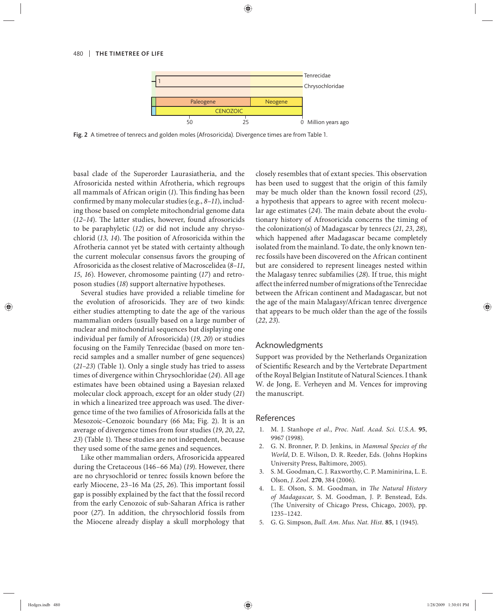#### 480 | THE TIMETREE OF LIFE



Fig. 2 A timetree of tenrecs and golden moles (Afrosoricida). Divergence times are from Table 1.

basal clade of the Superorder Laurasiatheria, and the Afrosoricida nested within Afrotheria, which regroups all mammals of African origin (1). This finding has been confirmed by many molecular studies (e.g., 8-11), including those based on complete mitochondrial genome data  $(12-14)$ . The latter studies, however, found afrosoricids to be paraphyletic (12) or did not include any chrysochlorid (13, 14). The position of Afrosoricida within the Afrotheria cannot yet be stated with certainty although the current molecular consensus favors the grouping of Afrosoricida as the closest relative of Macroscelidea (*8–11*, *15*, *16*). However, chromosome painting (*17*) and retroposon studies (*18*) support alternative hypotheses.

Several studies have provided a reliable timeline for the evolution of afrosoricids. They are of two kinds: either studies attempting to date the age of the various mammalian orders (usually based on a large number of nuclear and mitochondrial sequences but displaying one individual per family of Afrosoricida) (*19, 20*) or studies focusing on the Family Tenrecidae (based on more tenrecid samples and a smaller number of gene sequences) (*21–23*) (Table 1). Only a single study has tried to assess times of divergence within Chrysochloridae (*24*). All age estimates have been obtained using a Bayesian relaxed molecular clock approach, except for an older study (*21*) in which a linearized tree approach was used. The divergence time of the two families of Afrosoricida falls at the Mesozoic–Cenozoic boundary (66 Ma; Fig. 2). It is an average of divergence times from four studies (*19*, *20*, *22*, 23) (Table 1). These studies are not independent, because they used some of the same genes and sequences.

Like other mammalian orders, Afrosoricida appeared during the Cretaceous (146–66 Ma) (*19*). However, there are no chrysochlorid or tenrec fossils known before the early Miocene, 23-16 Ma (25, 26). This important fossil gap is possibly explained by the fact that the fossil record from the early Cenozoic of sub-Saharan Africa is rather poor (*27*). In addition, the chrysochlorid fossils from the Miocene already display a skull morphology that closely resembles that of extant species. This observation has been used to suggest that the origin of this family may be much older than the known fossil record (*25*), a hypothesis that appears to agree with recent molecular age estimates (24). The main debate about the evolutionary history of Afrosoricida concerns the timing of the colonization(s) of Madagascar by tenrecs (*21*, *23*, *28*), which happened after Madagascar became completely isolated from the mainland. To date, the only known tenrec fossils have been discovered on the African continent but are considered to represent lineages nested within the Malagasy tenrec subfamilies (*28*). If true, this might affect the inferred number of migrations of the Tenrecidae between the African continent and Madagascar, but not the age of the main Malagasy/African tenrec divergence that appears to be much older than the age of the fossils (*22*, *23*).

### Acknowledgments

Support was provided by the Netherlands Organization of Scientific Research and by the Vertebrate Department of the Royal Belgian Institute of Natural Sciences. I thank W. de Jong, E. Verheyen and M. Vences for improving the manuscript.

#### References

- 1. M. J. Stanhope *et al.*, *Proc. Natl. Acad. Sci. U.S.A.* **95**, 9967 (1998).
- 2. G. N. Bronner, P. D. Jenkins, in *Mammal Species of the World*, D. E. Wilson, D. R. Reeder, Eds. (Johns Hopkins University Press, Baltimore, 2005).
- 3. S. M. Goodman, C. J. Raxworthy, C. P. Maminirina, L. E. Olson, *J. Zool.* **270**, 384 (2006).
- 4. L. E. Olson, S. M. Goodman, in *The Natural History of Madagascar*, S. M. Goodman, J. P. Benstead, Eds. (The University of Chicago Press, Chicago, 2003), pp. 1235–1242.
- 5. G. G. Simpson, *Bull. Am. Mus. Nat. Hist.* **85**, 1 (1945).